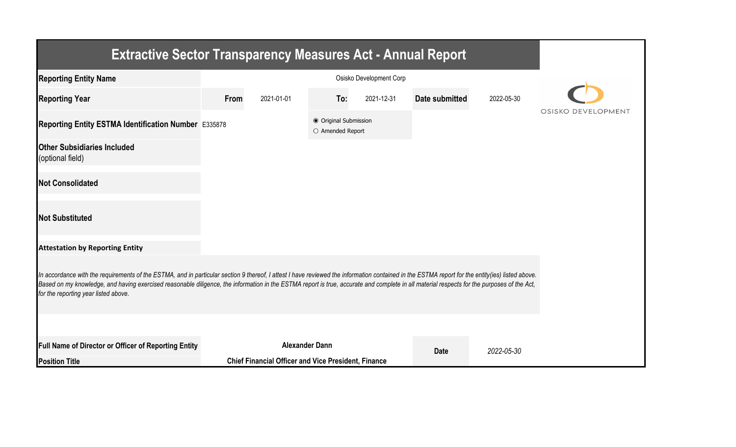| <b>Extractive Sector Transparency Measures Act - Annual Report</b>                                                                                                                                                                                                                                                                                                                                                                    |      |                                                            |                                           |            |                |            |                    |  |  |  |  |
|---------------------------------------------------------------------------------------------------------------------------------------------------------------------------------------------------------------------------------------------------------------------------------------------------------------------------------------------------------------------------------------------------------------------------------------|------|------------------------------------------------------------|-------------------------------------------|------------|----------------|------------|--------------------|--|--|--|--|
| <b>Reporting Entity Name</b>                                                                                                                                                                                                                                                                                                                                                                                                          |      |                                                            |                                           |            |                |            |                    |  |  |  |  |
| <b>Reporting Year</b>                                                                                                                                                                                                                                                                                                                                                                                                                 | From | 2021-01-01                                                 | To:                                       | 2021-12-31 | Date submitted | 2022-05-30 |                    |  |  |  |  |
| Reporting Entity ESTMA Identification Number E335878                                                                                                                                                                                                                                                                                                                                                                                  |      |                                                            | ● Original Submission<br>O Amended Report |            |                |            | OSISKO DEVELOPMENT |  |  |  |  |
| <b>Other Subsidiaries Included</b><br>(optional field)                                                                                                                                                                                                                                                                                                                                                                                |      |                                                            |                                           |            |                |            |                    |  |  |  |  |
| <b>Not Consolidated</b>                                                                                                                                                                                                                                                                                                                                                                                                               |      |                                                            |                                           |            |                |            |                    |  |  |  |  |
| <b>Not Substituted</b>                                                                                                                                                                                                                                                                                                                                                                                                                |      |                                                            |                                           |            |                |            |                    |  |  |  |  |
| <b>Attestation by Reporting Entity</b>                                                                                                                                                                                                                                                                                                                                                                                                |      |                                                            |                                           |            |                |            |                    |  |  |  |  |
| In accordance with the requirements of the ESTMA, and in particular section 9 thereof, I attest I have reviewed the information contained in the ESTMA report for the entity(ies) listed above.<br>Based on my knowledge, and having exercised reasonable diligence, the information in the ESTMA report is true, accurate and complete in all material respects for the purposes of the Act,<br>for the reporting year listed above. |      |                                                            |                                           |            |                |            |                    |  |  |  |  |
|                                                                                                                                                                                                                                                                                                                                                                                                                                       |      |                                                            |                                           |            |                |            |                    |  |  |  |  |
| Full Name of Director or Officer of Reporting Entity                                                                                                                                                                                                                                                                                                                                                                                  |      | <b>Alexander Dann</b>                                      |                                           |            | <b>Date</b>    | 2022-05-30 |                    |  |  |  |  |
| <b>Position Title</b>                                                                                                                                                                                                                                                                                                                                                                                                                 |      | <b>Chief Financial Officer and Vice President, Finance</b> |                                           |            |                |            |                    |  |  |  |  |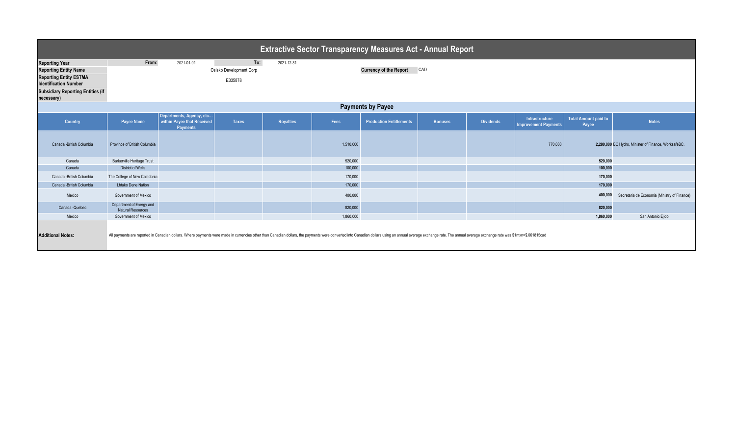| <b>Extractive Sector Transparency Measures Act - Annual Report</b>                            |                                                      |                                                                                                                                                                                                                                |                                    |            |           |                                |                |                  |                                                      |                                      |                                                      |
|-----------------------------------------------------------------------------------------------|------------------------------------------------------|--------------------------------------------------------------------------------------------------------------------------------------------------------------------------------------------------------------------------------|------------------------------------|------------|-----------|--------------------------------|----------------|------------------|------------------------------------------------------|--------------------------------------|------------------------------------------------------|
| <b>Reporting Year</b>                                                                         | From:                                                | 2021-01-01                                                                                                                                                                                                                     | To:                                | 2021-12-31 |           |                                |                |                  |                                                      |                                      |                                                      |
| <b>Reporting Entity Name</b><br><b>Reporting Entity ESTMA</b><br><b>Identification Number</b> |                                                      |                                                                                                                                                                                                                                | Osisko Development Corp<br>E335878 |            |           | <b>Currency of the Report</b>  | CAD            |                  |                                                      |                                      |                                                      |
| <b>Subsidiary Reporting Entities (if</b><br>necessary)                                        |                                                      |                                                                                                                                                                                                                                |                                    |            |           |                                |                |                  |                                                      |                                      |                                                      |
| <b>Payments by Payee</b>                                                                      |                                                      |                                                                                                                                                                                                                                |                                    |            |           |                                |                |                  |                                                      |                                      |                                                      |
| Country                                                                                       | <b>Payee Name</b>                                    | Departments, Agency, etc<br>within Payee that Received<br><b>Payments</b>                                                                                                                                                      | <b>Taxes</b>                       | Royalties  | Fees      | <b>Production Entitlements</b> | <b>Bonuses</b> | <b>Dividends</b> | <b>Infrastructure</b><br><b>Improvement Payments</b> | <b>Total Amount paid to</b><br>Payee | <b>Notes</b>                                         |
| Canada - British Columbia                                                                     | Province of British Columbia                         |                                                                                                                                                                                                                                |                                    |            | 1,510,000 |                                |                |                  | 770,000                                              |                                      | 2,280,000 BC Hydro, Minister of Finance, WorksafeBC. |
| Canada                                                                                        | Barkerville Heritage Trust                           |                                                                                                                                                                                                                                |                                    |            | 520,000   |                                |                |                  |                                                      | 520.000                              |                                                      |
| Canada                                                                                        | <b>District of Wells</b>                             |                                                                                                                                                                                                                                |                                    |            | 100,000   |                                |                |                  |                                                      | 100,000                              |                                                      |
| Canada - British Columbia                                                                     | The College of New Caledonia                         |                                                                                                                                                                                                                                |                                    |            | 170,000   |                                |                |                  |                                                      | 170,000                              |                                                      |
| Canada - British Columbia                                                                     | <b>Lhtako Dene Nation</b>                            |                                                                                                                                                                                                                                |                                    |            | 170,000   |                                |                |                  |                                                      | 170,000                              |                                                      |
| Mexico                                                                                        | Government of Mexico                                 |                                                                                                                                                                                                                                |                                    |            | 400,000   |                                |                |                  |                                                      | 400,000                              | Secretaria de Economia (Ministry of Finance)         |
| Canada - Quebec                                                                               | Department of Energy and<br><b>Natural Resources</b> |                                                                                                                                                                                                                                |                                    |            | 820,000   |                                |                |                  |                                                      | 820,000                              |                                                      |
| Mexico                                                                                        | Government of Mexico                                 |                                                                                                                                                                                                                                |                                    |            | 1,860,000 |                                |                |                  |                                                      | 1,860,000                            | San Antonio Ejido                                    |
| <b>Additional Notes:</b>                                                                      |                                                      | All payments are reported in Canadian dollars. Where payments were made in currencies other than Canadian dollars, the payments were converted into Canadian dollars using an annual average exchange rate. The annual average |                                    |            |           |                                |                |                  |                                                      |                                      |                                                      |